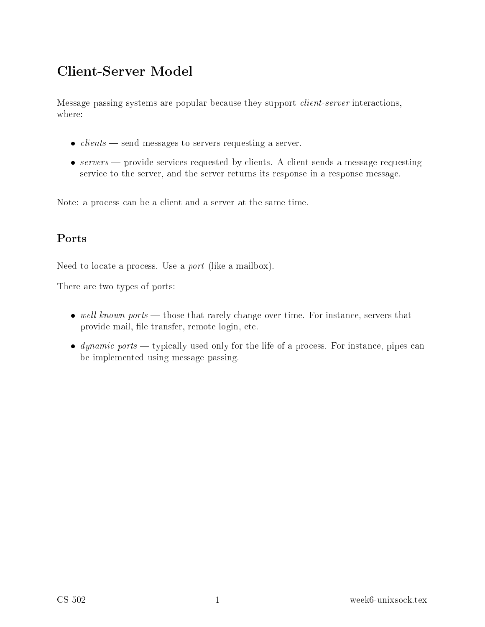# Client-Server Model

Message passing systems are popular because they support *client-server* interactions, where:

- $\bullet$  clients send messages to servers requesting a server.
- $\bullet$  servers provide services requested by clients. A client sends a message requesting service to the server, and the server returns its response in a response message.

Note: a process can be a client and a server at the same time.

Need to locate a process. Use a *port* (like a mailbox).

There are two types of ports:

- well known ports those that rarely change over time. For instance, servers that provide mail, file transfer, remote login, etc.
- *dynamic ports* typically used only for the life of a process. For instance, pipes can be implemented using message passing.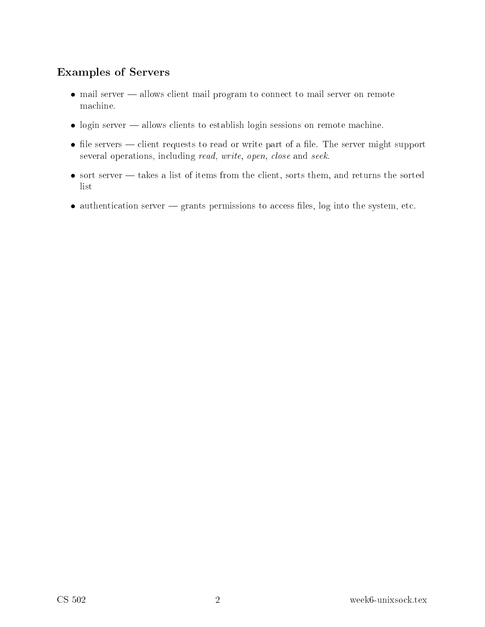### Examples of Servers

- mail server allows client mail program to connect to mail server on remote ma
hine.
- login server allows clients to establish login sessions on remote machine.
- $\bullet$  file servers client requests to read or write part of a file. The server might support several operations, including *read, write, open, close* and *seek*.
- $\bullet$  sort server takes a list of items from the client, sorts them, and returns the sorted list
- $\bullet$  authentication server  $-$  grants permissions to access files, log into the system, etc.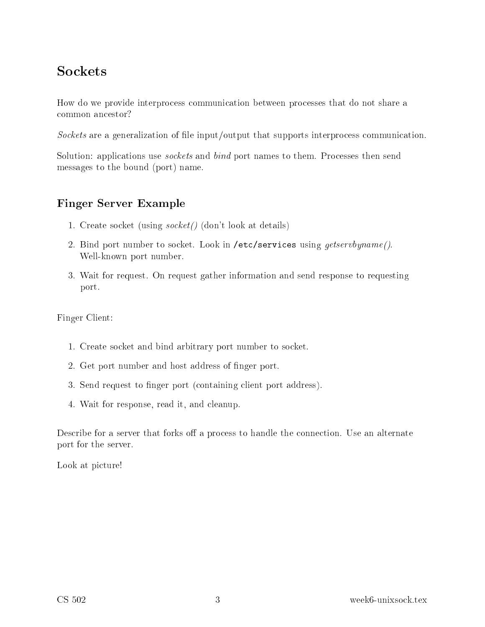# **Sockets**

How do we provide interpro
ess ommuni
ation between pro
esses that do not share a ommon an
estor?

So
kets are a generalization of le input/output that supports interpro
ess ommuni
ation.

Solution: applications use *sockets* and *bind* port names to them. Processes then send messages to the bound (port) name.

## Finger Server Example

- 1. Create socket (using *socket* () (don't look at details)
- 2. Bind port number to socket. Look in /etc/services using *qetservbyname*(). Well-known port number.
- 3. Wait for request. On request gather information and send response to requesting port.

Finger Client:

- 1. Create so
ket and bind arbitrary port number to so
ket.
- 2. Get port number and host address of finger port.
- 3. Send request to finger port (containing client port address).
- 4. Wait for response, read it, and leanup.

Describe for a server that forks off a process to handle the connection. Use an alternate port for the server.

Look at picture!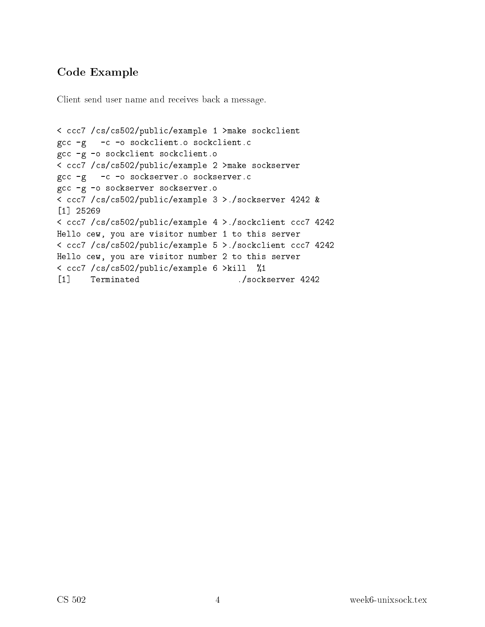## Code Example

Client send user name and receives back a message.

```
< ccc7 /cs/cs502/public/example 1 >make sockclient
gcc -g -c -o sockclient.o sockclient.c
gcc -g -o sockclient sockclient.o
< ccc7 /cs/cs502/public/example 2 >make sockserver
gcc -g -c -o sockserver.o sockserver.c
gcc -g -o sockserver sockserver.o
< ccc7 /cs/cs502/public/example 3 >./sockserver 4242 &
[1] 25269
\blacksquare \blacksquare \blacksquare \blacksquare \blacksquare \blacksquare \blacksquare \blacksquare \blacksquare \blacksquare \blacksquare \blacksquare \blacksquare \blacksquare \blacksquare \blacksquare \blacksquare \blacksquare \blacksquare \blacksquare \blacksquare \blacksquare \blacksquare \blacksquare \blacksquare \blacksquare \blacksquare \blacksquare \blacksquare \blacksquare \blacksquare \blacks< ccc7 /cs/cs502/public/example 4 >./sockclient ccc7 4242
Hello 
ew, you are visitor number 1 to this server
< ccc7 /cs/cs502/public/example 5 >./sockclient ccc7 4242
Hello 
ew, you are visitor number 2 to this server
< ccc7 /cs/cs502/public/example 6 >kill %1
[1] Terminated ./sockserver 4242
```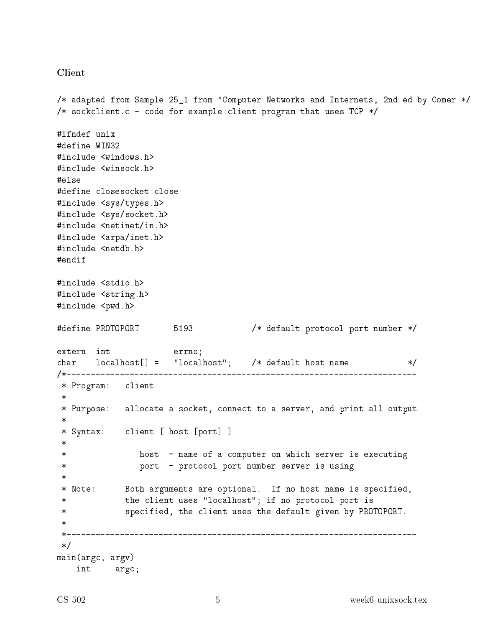#### **Client**

```
/* adapted from Sample 25_1 from "Computer Networks and Internets, 2nd ed by Comer */
/* sockclient.c - code for example client program that uses TCP */#ifndef unix
#define WIN32
#include <windows.h>
#include <winsock.h>
#else
#define closesocket close
#include <sys/types.h>
#include <sys/socket.h>
#include <netinet/in.h>
#include <arpa/inet.h>
#include <netdb.h>
#endif
#include <stdio.h>
#include <string.h>
#include <pwd.h>
#define PROTOPORT 5193 /* default protocol port number */
extern int
                   errno;
char localhost[] = "localhost"; /* default host name
                                                              \ast/* Program: client
* Purpose: allocate a socket, connect to a server, and print all output
* Syntax: client [ host [port] ]
\asthost - name of a computer on which server is executing
              port - protocol port number server is using
 \ast* Note: Both arguments are optional. If no host name is specified,
           the client uses "localhost"; if no protocol port is
            specified, the client uses the default given by PROTOPORT.
 \ast\ast /
main(argc, argv)int argc;
```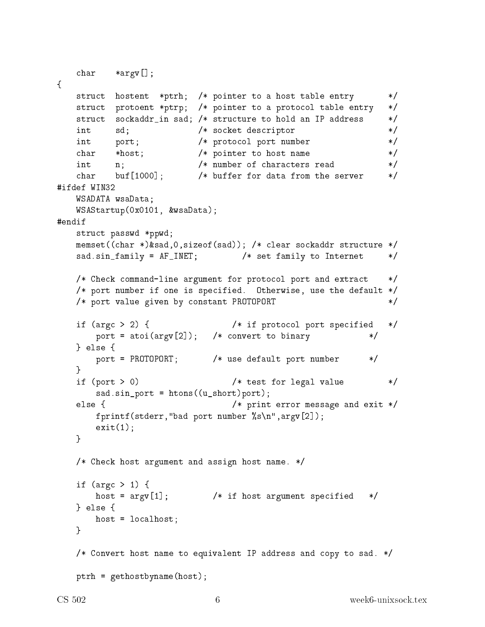```
char
            *argv[];
\mathcal{L}struct hostent *ptrh; /* pointer to a host table entry
                                                                       \ast/struct protoent *ptrp; /* pointer to a protocol table entry
                                                                       \ast/struct sockaddr_in sad; /* structure to hold an IP address
                                                                       \ast//* socket descriptor
    int
            sd;
                                                                       \ast/int
            port;
                             /* protocol port number
                                                                       \ast/char/* pointer to host name
                                                                       \ast/*host;
    int
                             /* number of characters read
                                                                       \ast/n;
                            /* buffer for data from the server
            buf \lceil 1000 \rceil ;
    char
                                                                       \ast /
#ifdef WIN32
    WSADATA wsaData;
    WSAStartup(0x0101, &wsaData);
#endif
    struct passwd *ppwd;
    memset((char *)&sad, 0, sizeof(sad)); /* clear sockaddr structure */
    sad.sin_family = AF_INET; /* set family to Internet
                                                                       \ast//* Check command-line argument for protocol port and extract
                                                                       \ast//* port number if one is specified. Otherwise, use the default */
    /* port value given by constant PROTOPORT
                                                                       \ast/if (argc > 2) {
                                     /* if protocol port specified
                                                                       \ast/port = atoi(argv[2]); /* convert to binary
                                                                  \ast/} else {
        port = PROTOPORT; /* use default port number
                                                               */
    \mathcal{F}if (port > 0)/* test for legal value
                                                                       \ast/sad.sin-port = htons((u_short)port);else {
                                     /* print error message and exit */fprintf(stderr,"bad port number \sqrt{k}s\n", argv[2]);
        exit(1);
    \mathcal{F}/* Check host argument and assign host name. */
    if (argc > 1) {
        host = \arg v[1]; /* if host argument specified */} else \{host = localhost;\mathcal{F}/* Convert host name to equivalent IP address and copy to sad. */
    ptrh = gethostbyname(host);
```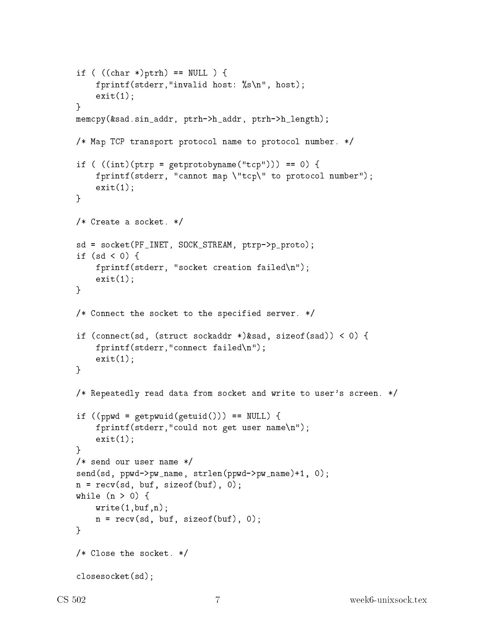```
if ( ((char *)ptrh) == NULL ) {
    fprintf(stderr,"invalid host: %s\n", host);
    exit(1);
}
mem
py(&sad.sin_addr, ptrh->h_addr, ptrh->h_length);
/* Map TCP transport proto
ol name to proto
ol number. */
if ( ((int)(ptrp = getprotobyname("tcp")) = = 0) {
    fprintf(stderr, "cannot map \"tcp\" to protocol number");
    exit(1);
}
/* Create a socket. */sd = so
ket(PF_INET, SOCK_STREAM, ptrp->p_proto);
if (sd \langle 0) {
    fprintf(stderr, "socket creation failed\n");
    exit(1);}
/* Connect the socket to the specified server. */
if (connect(sd, (struct sockaddr *)&sad, sizeof(sad)) < 0) {
    fprintf(stderr,"
onne
t failed\n");
    exit(1);
}
/* Repeatedly read data from socket and write to user's screen. */
if ((ppwd = getpwuid(getuid))) == NULL) {
    fprintf(stderr,"
ould not get user name\n");
    exit(1);
P.
}
/* send our user name */
send(sd, ppwd->pw_name, strlen(ppwd->pw_name)+1, 0);
n = rev(sd, but, sizeof(buf), 0);while (n > 0) {
    write(1, but, n);n = rev(sd, but, sizeof(buf), 0);P.
}
/* Close the socket. */closesocket(sd);
```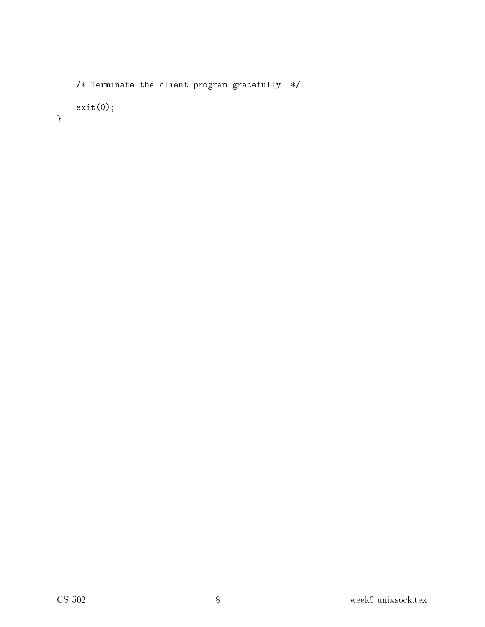```
/* Terminate the client program gracefully. */exit(0);\}
```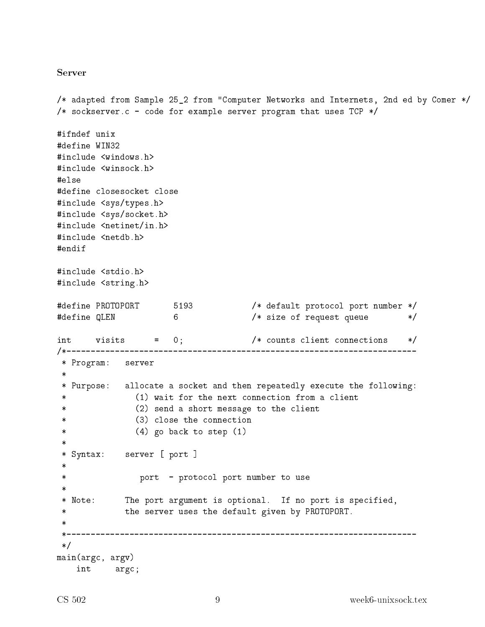#### **Server**

```
/* adapted from Sample 25_2 from "Computer Networks and Internets, 2nd ed by Comer */
/* sockserver.c - code for example server program that uses TCP */#ifndef unix
#define WIN32
#include <windows.h>
#include <winsock.h>
#else
#define closesocket close
#include <sys/types.h>
#include <sys/socket.h>
#include <netinet/in.h>
#include <netdb.h>
#endif
#include <stdio.h>
#include <string.h>
#define PROTOPORT 5193 /* default protocol port number */
#define QLEN
                   6
                                /* size of request queue */
int visits = 0;
                                /* counts client connections */* Program: server
\ast* Purpose: allocate a socket and then repeatedly execute the following:
             (1) wait for the next connection from a client
\ast(2) send a short message to the client
             (3) close the connection
            (4) go back to step (1)\ast* Syntax: server [ port ]
 \ast\astport - protocol port number to use
* Note: The port argument is optional. If no port is specified,
           the server uses the default given by PROTOPORT.
 \ast /
main(argc, argv)int argc;
```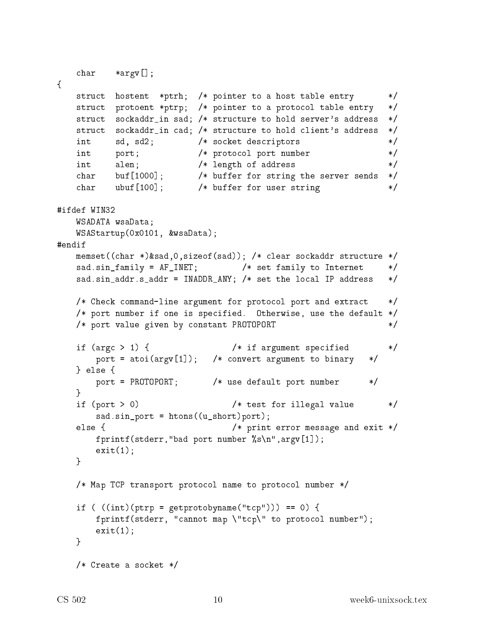```
char *argv[];
\mathcal{L}struct hostent *ptrh; /* pointer to a host table entry
                                                                      \ast /
    struct protoent *ptrp; /* pointer to a protocol table entry
                                                                      \ast/struct sockaddr_in sad; /* structure to hold server's address
                                                                      \ast/struct sockaddr_in cad; /* structure to hold client's address
                                                                      \ast//* socket descriptors
    int
            sd, sd2;
                                                                      \ast//* protocol port number
                                                                      \ast/int
            port;
            alen;
                            /* length of address
                                                                      \ast/int
            buf [1000] ;
                            /* buffer for string the server sends
    char
                                                                      \ast/char \quad \text{ubuf}[100];/* buffer for user string
                                                                      \ast /
#ifdef WIN32
    WSADATA wsaData;
    WSAStartup(0x0101, &wsaData);
#endif
    memset((char *)&sad, 0, sizeof(sad)); /* clear sockaddr structure */
    sad.sin_family = AF_INET; /* set family to Internet
                                                                      \ast/sad.sin_addr.s_addr = INADDR_ANY; /* set the local IP address
                                                                      \ast//* Check command-line argument for protocol port and extract
                                                                      \ast//* port number if one is specified. Otherwise, use the default */
    /* port value given by constant PROTOPORT
                                                                      \ast/if (argc > 1) {
                                     /* if argument specified
                                                                      \ast/port = atoi(argv[1]); /* convert argument to binary
                                                                  \ast/} else {
        port = PROTOPORT; /* use default port number
                                                                  \ast/\mathcal{F}/* test for illegal value
    if (port > 0)\ast/sad.sin-port = htons((u_short)port);else {
                                     /* print error message and exit */fprintf(stderr,"bad port number \sqrt{k}s\n", argv[1]);
        exit(1);\mathcal{F}/* Map TCP transport protocol name to protocol number */
    if ( ((int)(ptrp = getprotobyname("tcp")) = = 0) {
        fprintf(stderr, "cannot map \"tcp\" to protocol number");
        exit(1):P.
    /* Create a socket */
```